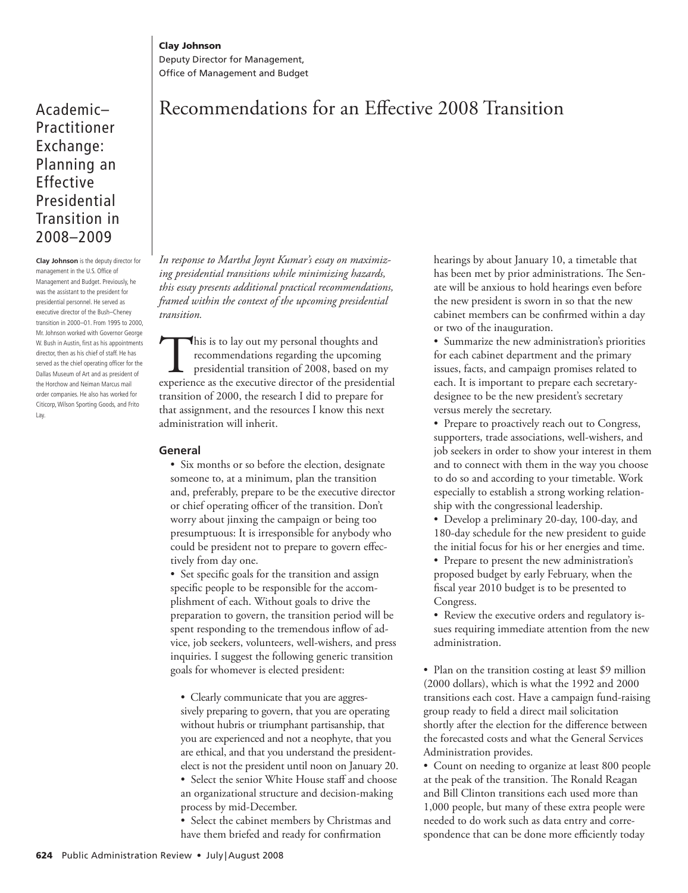Deputy Director for Management, Office of Management and Budget

## Academic– Practitioner Exchange: Planning an Effective Presidential Transition in 2008–2009

**Clay Johnson** is the deputy director for management in the U.S. Office of Management and Budget. Previously, he was the assistant to the president for presidential personnel. He served as executive director of the Bush-Cheney transition in 2000-01. From 1995 to 2000, Mr. Johnson worked with Governor George W. Bush in Austin, first as his appointments director, then as his chief of staff. He has served as the chief operating officer for the Dallas Museum of Art and as president of the Horchow and Neiman Marcus mail order companies. He also has worked for Citicorp, Wilson Sporting Goods, and Frito Lay.

# Recommendations for an Effective 2008 Transition

 *In response to Martha Joynt Kumar's essay on maximizing presidential transitions while minimizing hazards, this essay presents additional practical recommendations, framed within the context of the upcoming presidential transition.* 

This is to lay out my personal thoughts and<br>recommendations regarding the upcoming<br>presidential transition of 2008, based on m<br>experience as the executive director of the presiden recommendations regarding the upcoming presidential transition of 2008, based on my experience as the executive director of the presidential transition of 2000, the research I did to prepare for that assignment, and the resources I know this next administration will inherit.

### **General**

 • Six months or so before the election, designate someone to, at a minimum, plan the transition and, preferably, prepare to be the executive director or chief operating officer of the transition. Don't worry about jinxing the campaign or being too presumptuous: It is irresponsible for anybody who could be president not to prepare to govern effectively from day one.

• Set specific goals for the transition and assign specific people to be responsible for the accomplishment of each. Without goals to drive the preparation to govern, the transition period will be spent responding to the tremendous inflow of advice, job seekers, volunteers, well-wishers, and press inquiries. I suggest the following generic transition goals for whomever is elected president:

 • Clearly communicate that you are aggressively preparing to govern, that you are operating without hubris or triumphant partisanship, that you are experienced and not a neophyte, that you are ethical, and that you understand the presidentelect is not the president until noon on January 20.

 • Select the senior White House staff and choose an organizational structure and decision-making process by mid-December.

 • Select the cabinet members by Christmas and have them briefed and ready for confirmation

hearings by about January 10, a timetable that has been met by prior administrations. The Senate will be anxious to hold hearings even before the new president is sworn in so that the new cabinet members can be confirmed within a day or two of the inauguration.

 • Summarize the new administration's priorities for each cabinet department and the primary issues, facts, and campaign promises related to each. It is important to prepare each secretarydesignee to be the new president's secretary versus merely the secretary.

 • Prepare to proactively reach out to Congress, supporters, trade associations, well-wishers, and job seekers in order to show your interest in them and to connect with them in the way you choose to do so and according to your timetable. Work especially to establish a strong working relationship with the congressional leadership.

 • Develop a preliminary 20-day, 100-day, and 180-day schedule for the new president to guide the initial focus for his or her energies and time.

 • Prepare to present the new administration's proposed budget by early February, when the fiscal year 2010 budget is to be presented to Congress.

 • Review the executive orders and regulatory issues requiring immediate attention from the new administration.

 • Plan on the transition costing at least \$9 million (2000 dollars), which is what the 1992 and 2000 transitions each cost. Have a campaign fund-raising group ready to field a direct mail solicitation shortly after the election for the difference between the forecasted costs and what the General Services Administration provides.

 • Count on needing to organize at least 800 people at the peak of the transition. The Ronald Reagan and Bill Clinton transitions each used more than 1,000 people, but many of these extra people were needed to do work such as data entry and correspondence that can be done more efficiently today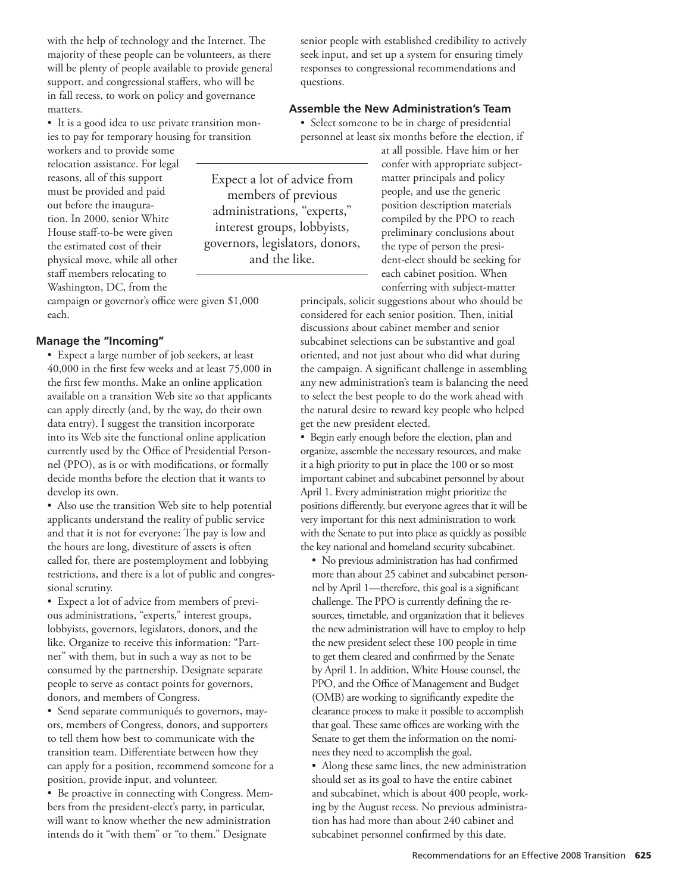with the help of technology and the Internet. The majority of these people can be volunteers, as there will be plenty of people available to provide general support, and congressional staffers, who will be in fall recess, to work on policy and governance matters.

 • It is a good idea to use private transition monies to pay for temporary housing for transition

workers and to provide some relocation assistance. For legal reasons, all of this support must be provided and paid out before the inauguration. In 2000, senior White House staff-to-be were given the estimated cost of their physical move, while all other staff members relocating to Washington, DC, from the

campaign or governor's office were given \$1,000 each.

#### **Manage the "Incoming"**

 • Expect a large number of job seekers, at least 40,000 in the first few weeks and at least 75,000 in the first few months. Make an online application available on a transition Web site so that applicants can apply directly (and, by the way, do their own data entry). I suggest the transition incorporate into its Web site the functional online application currently used by the Office of Presidential Personnel (PPO), as is or with modifications, or formally decide months before the election that it wants to develop its own.

 • Also use the transition Web site to help potential applicants understand the reality of public service and that it is not for everyone: The pay is low and the hours are long, divestiture of assets is often called for, there are postemployment and lobbying restrictions, and there is a lot of public and congressional scrutiny.

 • Expect a lot of advice from members of previous administrations, "experts," interest groups, lobbyists, governors, legislators, donors, and the like. Organize to receive this information: "Partner" with them, but in such a way as not to be consumed by the partnership. Designate separate people to serve as contact points for governors, donors, and members of Congress.

 • Send separate communiqués to governors, mayors, members of Congress, donors, and supporters to tell them how best to communicate with the transition team. Differentiate between how they can apply for a position, recommend someone for a position, provide input, and volunteer.

 • Be proactive in connecting with Congress. Members from the president-elect's party, in particular, will want to know whether the new administration intends do it "with them" or "to them." Designate

senior people with established credibility to actively seek input, and set up a system for ensuring timely responses to congressional recommendations and questions.

#### **Assemble the New Administration's Team**

 • Select someone to be in charge of presidential personnel at least six months before the election, if

 Expect a lot of advice from members of previous administrations, "experts," interest groups, lobbyists, governors, legislators, donors, and the like.

at all possible. Have him or her confer with appropriate subjectmatter principals and policy people, and use the generic position description materials compiled by the PPO to reach preliminary conclusions about the type of person the president-elect should be seeking for each cabinet position. When conferring with subject-matter

principals, solicit suggestions about who should be considered for each senior position. Then, initial discussions about cabinet member and senior subcabinet selections can be substantive and goal oriented, and not just about who did what during the campaign. A significant challenge in assembling any new administration's team is balancing the need to select the best people to do the work ahead with the natural desire to reward key people who helped get the new president elected.

 • Begin early enough before the election, plan and organize, assemble the necessary resources, and make it a high priority to put in place the 100 or so most important cabinet and subcabinet personnel by about April 1. Every administration might prioritize the positions differently, but everyone agrees that it will be very important for this next administration to work with the Senate to put into place as quickly as possible the key national and homeland security subcabinet.

• No previous administration has had confirmed more than about 25 cabinet and subcabinet personnel by April 1—therefore, this goal is a significant challenge. The PPO is currently defining the resources, timetable, and organization that it believes the new administration will have to employ to help the new president select these 100 people in time to get them cleared and confirmed by the Senate by April 1. In addition, White House counsel, the PPO, and the Office of Management and Budget (OMB) are working to significantly expedite the clearance process to make it possible to accomplish that goal. These same offices are working with the Senate to get them the information on the nominees they need to accomplish the goal.

 • Along these same lines, the new administration should set as its goal to have the entire cabinet and subcabinet, which is about 400 people, working by the August recess. No previous administration has had more than about 240 cabinet and subcabinet personnel confirmed by this date.